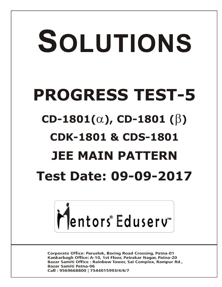# SOLUTIONS **PROGRESS TEST-5**  $CD-1801(\alpha)$ , CD-1801 ( $\beta$ ) **CDK-1801 & CDS-1801 JEE MAIN PATTERN Test Date: 09-09-2017**



**Corporate Office: Paruslok, Boring Road Crossing, Patna-01** Kankarbagh Office: A-10, 1st Floor, Patrakar Nagar, Patna-20 Bazar Samiti Office: Rainbow Tower, Sai Complex, Rampur Rd., **Bazar Samiti Patna-06** Call: 9569668800 | 7544015993/4/6/7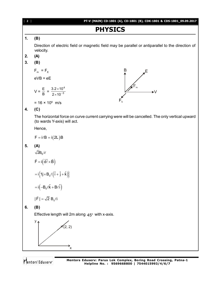# **PHYSICS 1. (B)** Direction of electric field or magnetic field may be parallel or antiparallel to the direction of velocity. **2. (A) 3. (B)** B  $F_{m}$  =  $F_{E}$ E,  $eVB = eE$ 4  $V = \frac{E}{B} = \frac{3.2 \times 10^4}{2 \times 10^{-3}}$  $3.2 \times 10$  $\times$ ►V  $\times$ 10<sup>-1</sup>  $2\times 10$ = 16 × 10<sup>6</sup> m/s **4. (C)** The horizontal force on curve current carrying were will be cancelled. The only vertical upward (to wards Y-axis) will act. Hence,  $F = i/B = i(2L)B$ **5. (A)** 2 $\mathsf{B}_0$  i $\ell$  $\rightarrow$   $(\rightarrow \rightarrow \rightarrow)$  $F = i ( d \ell \times B )$  $\ell$  $= i \left\{ 1j \times B_0 \ell \left( \hat{i} + \hat{j} + \hat{k} \right) \right\}$  $= \mathrm{i} \left( -\mathsf{B}_{\mathrm{o}} \ell \hat{\mathsf{k}} + \mathsf{B} \ell \hat{\mathrm{i}} \right)$  $\overline{\phantom{a}}$  $|F| = \sqrt{2} B_0 \ell i$  $\ell$ **6. (B)** Effective length will 2m along  $45^{\circ}$  with x-axis.  $y<sub>A</sub>$  $(2, 2)$

[ **2** ] **PT-V (MAIN) CD-1801 (A), CD-1801 (B), CDK-1801 & CDS-1801\_09.09.2017**

እ<br>ั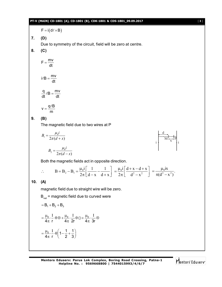#### **PT-V (MAIN) CD-1801 (A), CD-1801 (B), CDK-1801 & CDS-1801\_09.09.2017** [ **3** ]

 $F = i(d\ell \times B)$ 

**7. (D)**

Due to symmetry of the circuit, field will be zero at centre.

**8. (C)**

$$
F=\frac{mv}{dt}
$$

$$
i\ell B = \frac{mv}{dt}
$$

$$
\frac{q}{dt}\ell B = \frac{mv}{dt}
$$

$$
v=\frac{q\ell B}{m}
$$

# **9. (B)**

The magnetic field due to two wires at P

$$
B_1 = \frac{\mu_0 i}{2\pi (d+x)}
$$

$$
B_2 = \frac{\mu_0 i}{2\pi (d-x)}
$$

Both the magnetic fields act in opposite direction.

$$
\therefore \qquad B = B_2 - B_1 = \frac{\mu_0 i}{2\pi} \left[ \frac{1}{d-x} - \frac{1}{d+x} \right] = \frac{\mu_0 i}{2\pi} \left[ \frac{d+x-d+x}{d^2-x^2} \right] = \frac{\mu_0 ix}{\pi(d^2-x^2)}.
$$

# **10. (A)**

magnetic field due to straight wire will be zero.

 $B_{net}$  = magnetic field due to curved were

$$
=B_{1}+B_{2}+B_{3}
$$
\n
$$
=\frac{\mu_{0}}{4\pi} \cdot \frac{I}{r} \cdot \theta \otimes + \frac{\mu_{0}}{4\pi} \cdot \frac{I}{2r} \theta \odot + \frac{\mu_{0}}{4\pi} \cdot \frac{I}{3r} \otimes
$$
\n
$$
=\frac{\mu_{0}}{4\pi} \cdot \frac{I}{r} \cdot \theta \left(1-\frac{1}{2}+\frac{1}{3}\right)
$$

**Mentors Eduserv: Parus Lok Complex, Boring Road Crossing, Patna-1 Helpline No. : 9569668800 | 7544015993/4/6/7**

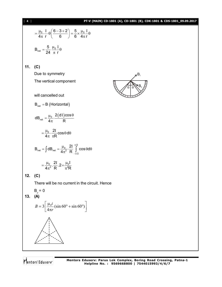#### [ **4** ] **PT-V (MAIN) CD-1801 (A), CD-1801 (B), CDK-1801 & CDS-1801\_09.09.2017**

$$
= \frac{\mu_0}{4\pi} \cdot \frac{1}{r} \cdot \theta \left( \frac{6-3+2}{6} \right) = \frac{5}{6} \times \frac{\mu_0}{4\pi} \cdot \frac{1}{r} \theta
$$
  
\n
$$
B_{net} = \frac{5}{24} \frac{\mu_0}{\pi} \cdot \frac{1}{r} \theta
$$
  
\n11. (C)  
\nDue to symmetry  
\nThe vertical component  
\nwill cancelled out  
\n
$$
B_{net} = B \text{ (Horizontal)}
$$
  
\n
$$
dB_{net} = \frac{\mu_0}{4\pi} \cdot \frac{2(d1)\cos\theta}{R}
$$
  
\n
$$
= \frac{\mu_0}{4\pi} \cdot \frac{2I}{rR} \cos\theta d\theta
$$
  
\n
$$
B_{net} = \int dB_{net} = \frac{\mu_0}{4\pi^2} \cdot \frac{2I}{R} \cdot \frac{\pi^2}{R^2}
$$
costheta
$$
= \frac{\mu_0}{4\pi^2} \cdot \frac{2I}{R} \cdot 2 = \frac{\mu_0 I}{\pi^2 R}
$$
  
\n12. (C)  
\nThere will be no current in the circuit. Hence  
\n
$$
B_p = 0
$$
  
\n13. (A)  
\n
$$
B = 3 \left[ \frac{\mu_0 i}{4\pi r} (\sin 60^\circ + \sin 60^\circ) \right]
$$

Mentors<sup>e</sup> Eduserv<sup>-</sup>



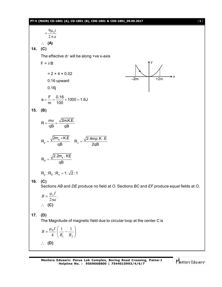**PT-V (MAIN) CD-1801 (A), CD-1801 (B), CDK-1801 & CDS-1801\_09.09.2017** [ **5** ] *a i*  $\pi$  $=\frac{9\mu}{2}$ 2 9 $\mu_{_0}$  **(A) 14. (C)** The effective  $d\ell$  will be along +ve x-axis  $F = i\ell B$ y  $\frac{1}{2m}$  +2m  $= 2 \times 4 \times 0.02$ 0.16 upward 0.16j  $a = \frac{F}{100} = \frac{0.16}{100} \times 1000 = 1.6J$ m 100  $=-\frac{0.18}{100} \times 1000 =$ **15. (B)**  $R = \frac{mv}{R} = \frac{\sqrt{2m.K.E.}}{R}$ qB qB  $=\frac{1111}{R}$  = p  $R_p = \frac{\sqrt{2m_p \times K.E}}{nR_a}$   $R_a = \frac{\sqrt{2.4mp.K.E}}{2nR_a}$ qB  $\frac{1}{a}$  2qB  $\times$  $=\frac{V - P}{R_a}$   $R_a =$ p D  $2.2m<sub>o</sub>$  . KE R qB  $=$  $R_p : R_p : R_\alpha = 1 : \sqrt{2} : 1$ **16. (C)** Sections *AB* and *DE* produce no field at *O*. Sections *BC* and *EF* produce equal fields at *O*, *a*  $B=\frac{\mu_0 I}{2}$  $\pi$  $=\frac{\mu}{2}$ 2  $\frac{0}{\epsilon}$ .  $\therefore$  (C) **17. (D)** The Magnitude of magnetic field due to circular loop at the center *C* is  $\overline{\phantom{a}}$  $\bigg)$  $\setminus$  $\overline{\phantom{a}}$  $\setminus$ ſ  $=\frac{\mu_0 I}{I} \left( \frac{1}{R} \right)$  $1 \quad \textbf{R}_2$  $_0 I \begin{pmatrix} 1 & 1 \end{pmatrix}$ 4 *R R*  $B=\frac{\mu_0 I}{4}$ **(D)**

**Mentors Eduserv: Parus Lok Complex, Boring Road Crossing, Patna-1 Helpline No. : 9569668800 | 7544015993/4/6/7**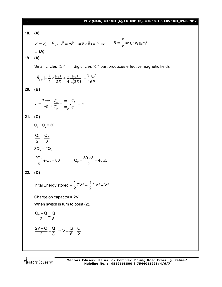| [6] | PT-V (MAIN) CD-1801 (A), CD-1801 (B), CDK-1801 & CDS-1801_09.09.2017                                                                                               |
|-----|--------------------------------------------------------------------------------------------------------------------------------------------------------------------|
|     | 18. (A)                                                                                                                                                            |
| 19. | $\vec{F} = \vec{F}_e + \vec{F}_m$ , $\vec{F} = q\vec{E} + q(\vec{v} \times \vec{B}) = 0 \implies B = \frac{E}{v} = 10^3 \text{ Wb/m}^2$<br>$\therefore$ (A)<br>(A) |
|     |                                                                                                                                                                    |
|     | Small circles $\frac{3}{4}$ <sup>th</sup> . Big circles $\frac{1}{4}$ <sup>th</sup> part produces effective magnetic fields                                        |
|     | $ \vec{B}_{net}  = \frac{3}{4} \times \frac{\mu_0 I}{2R} + \frac{1}{4} \frac{\mu_0 I}{2(2R)} = \frac{7\mu_0 I}{16R}$                                               |
| 20. | (B)                                                                                                                                                                |
|     | $T=\frac{2\pi m}{qB},\ \frac{T_{\alpha}}{T_{p}}=\frac{m_{\alpha}}{m_{p}}.\frac{q_{p}}{q_{\alpha}}=2$                                                               |
|     | 21. $(C)$                                                                                                                                                          |
|     | $Q_1 + Q_2 = 80$                                                                                                                                                   |
|     | $\frac{Q_1}{2} = \frac{Q_2}{3}$                                                                                                                                    |
|     | $3Q_1 = 2Q_2$                                                                                                                                                      |
|     | $\frac{2Q_2}{3} + Q_2 = 80$ $Q_2 = \frac{80 \times 3}{5} = 48 \mu C$                                                                                               |
| 22. | (D)                                                                                                                                                                |
|     | Inital Energy stored = $\frac{1}{2}CV^2 = \frac{1}{2} 2.V^2 = V^2$                                                                                                 |
|     | Charge on capactor = $2V$                                                                                                                                          |
|     | When switch is turn to point (2).                                                                                                                                  |
|     | $\frac{Q_0 - Q}{2} = \frac{Q}{8}$                                                                                                                                  |
|     | $\frac{2V-Q}{2} = \frac{Q}{8} \Rightarrow V = \frac{Q}{8} + \frac{Q}{2}$                                                                                           |
|     |                                                                                                                                                                    |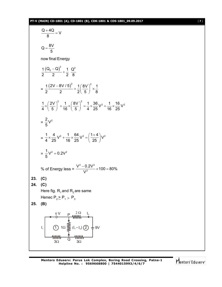#### **PT-V (MAIN) CD-1801 (A), CD-1801 (B), CDK-1801 & CDS-1801\_09.09.2017** [ **7** ]

$$
\frac{Q + 4Q}{8} = V
$$
\n
$$
Q = \frac{8V}{5}
$$
\nnow final Energy

\n
$$
\frac{1}{2} \frac{(Q_0 - Q)^2}{2} + \frac{1}{2} \frac{Q^2}{8}
$$
\n
$$
= \frac{1}{2} \frac{(2V - 8V/5)^2}{2} + \frac{1}{2} \left(\frac{8V}{5}\right)^2 \times \frac{1}{8}
$$
\n
$$
\frac{1}{4} \times \left(\frac{2V}{5}\right)^2 + \frac{1}{16} \times \left(\frac{8V}{5}\right)^2 = \frac{1}{4} \times \frac{36}{25} V^2 + \frac{1}{16} \times \frac{16}{25} V^2
$$
\n
$$
= \frac{2}{5} V^2
$$
\n
$$
= \frac{1}{4} \times \frac{4}{25} V^2 + \frac{1}{16} \times \frac{64}{25} V^2 = \left(\frac{1+4}{25}\right) V^2
$$
\n
$$
= \frac{1}{5} V^2 = 0.2 V^2
$$
\n% of Energy less =  $\frac{V^2 - 0.2V^2}{V^2} \times 100 = 80\%$ 

\n23. (C)

\nHere fig. R<sub>1</sub> and R<sub>2</sub> are same  
\nHence P<sub>2</sub> ≥ P<sub>1</sub> > P<sub>3</sub>

\n25. (B)

\n
$$
\frac{6V}{32} = \frac{P_1}{Q_2} \times \frac{1}{2} \times \frac{1}{2} \times \frac{1}{2} \times \frac{1}{2} \times \frac{1}{2} \times \frac{1}{2} \times \frac{1}{2} \times \frac{1}{2} \times \frac{1}{2} \times \frac{1}{2} \times \frac{1}{2} \times \frac{1}{2} \times \frac{1}{2} \times \frac{1}{2} \times \frac{1}{2} \times \frac{1}{2} \times \frac{1}{2} \times \frac{1}{2} \times \frac{1}{2} \times \frac{1}{2} \times \frac{1}{2} \times \frac{1}{2} \times \frac{1}{2} \times \frac{1}{2} \times \frac{1}{2} \times \frac{1}{2
$$

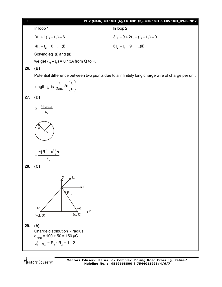## [ **8** ] **PT-V (MAIN) CD-1801 (A), CD-1801 (B), CDK-1801 & CDS-1801\_09.09.2017**

In loop 1 In loop 2

 $3I_1 + 1(I_1 - I_2) = 6$   $3I_2 - 9 + 2I_2 - (I_1 - I_2) = 0$ 

 $4I_1 - I_2 = 6$  ....(i)  $6I_2 - I_1 = 9$  ....(ii)

Solving  $eq<sup>n</sup>(i)$  and (ii)

we get  $(I_1 - I_2) = 0.13$ A from Q to P.

### **26. (B)**

Potential difference between two pionts due to a infinitely long charge wire of charge per unit

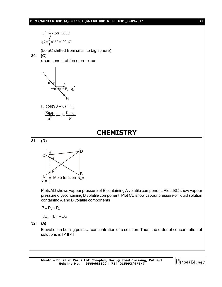#### **PT-V (MAIN) CD-1801 (A), CD-1801 (B), CDK-1801 & CDS-1801\_09.09.2017** [ **9** ]

150 100 C 3 2 q ' 150 50 C 3 1 q ' 2 1 (50 C shifted from small to big sphere) **30. (C)** x component of force on – q a –q<sup>1</sup> b F<sup>2</sup> q<sup>2</sup> F1 90– –q<sup>3</sup> F1 cos(90 – ) + F<sup>2</sup> = <sup>2</sup> 1 2 2 1 3 b Kq q sin a Kq q **CHEMISTRY 31. (D)** G F H D B A C E Mole fraction x = 1 <sup>A</sup> x = 1 <sup>B</sup> Plots AD shows vapour pressure of B containing A volatile component. Plots BC show vapour pressure of A containing B volatile component. Plot CD show vapour pressure of liquid solution containing A and B volatile components P P P A B E EF EG <sup>H</sup> **32. (A)** Elevation in boiling point concentration of a solution. Thus, the order of concentration of solutions is I < II < III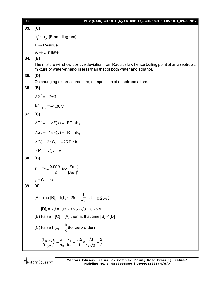**33. (C)**

 $T_{\rm B}^{\circ}$  >  $T_{\rm A}^{\circ}$  [From diagram]

 $B \rightarrow Residue$ 

 $A \rightarrow$  Distillate

**34. (B)**

The mixture will show positive deviation from Raoult's law hence boiling point of an azeotropic mixture of water-ethanol is less than that of both water and ethanol.

**35. (D)**

On changing external pressure, composition of azeotrope alters.

**36. (B)**

 $\Delta G_1^\circ = -2\Delta G_2^\circ$ 

 $E^{\circ}_{C \cap |C|_2} = -1.36 \text{ V}$ 

**37. (C)**

$$
\Delta G_1^\circ = -1 \times F(x) = -RT \ln K_1
$$

 $\Delta G_2^\circ = -1 \times F(y) = -RT \ln K_2$ 

$$
\Delta G_2^\circ = 2\Delta G_1^\circ = -2RT \ln k_1
$$

$$
\therefore K_2 = K_1^2, x = y
$$

**38. (B)**

$$
E = E^{\circ} - \frac{0.0591}{2} \log \frac{[Zn^{2+1}]}{[Ag^+]^2}
$$

$$
y = C - mx
$$

$$
39. (A)
$$

(A) True [B]<sub>t</sub> = k<sub>1</sub>t ; 0.25 = 
$$
\frac{1}{\sqrt{3}}t
$$
; t = 0.25 $\sqrt{3}$   
\n[D]<sub>t</sub> = k<sub>1</sub>t =  $\sqrt{3} \times 0.25 \times \sqrt{3} = 0.75M$   
\n(B) False if [C] = [A] then at that time [B] < [D]  
\n(C) False t<sub>100%</sub> =  $\frac{a}{k}$  (for zero order)  
\n $\frac{(t_{100\%})_I}{(t_{100\%})} = \frac{a_I}{a_{II}} \cdot \frac{k_I}{k_{II}} = \frac{0.5}{1} \times \frac{\sqrt{3}}{1/\sqrt{3}} = \frac{3}{2}$ 

2

 $\ddot{}$  $^{+}$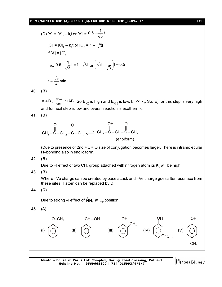**PT-V (MAIN) CD-1801 (A), CD-1801 (B), CDK-1801 & CDS-1801\_09.09.2017** [ **11** ]

(D) 
$$
[A]_t = [A]_0 - k_1 t
$$
 or  $[A]_t = 0.5 - \frac{1}{\sqrt{3}} t$   
\n $[C]_t = [C]_0 - k_{11} t$  or  $[C]_t = 1 - \sqrt{3} t$   
\nif  $[A] = [C]_t$   
\ni.e.,  $0.5 - \frac{1}{\sqrt{3}} t = 1 - \sqrt{3} t$  or  $(\sqrt{3} - \frac{1}{\sqrt{3}}) t = 0.5$   
\n $t = \frac{\sqrt{3}}{4}$ min.

**40. (B)**

 $\frac{\text{slow}}{\text{fast}}$  I  $A+B\frac{\text{slow}}{\text{fast}}$  IAB ; So  $\text{E}_{\text{a(f)}}$  is high and  $\text{E}_{\text{a(b)}}$  is low.  $\text{k}_1 \ll \text{k}_2$ ; So,  $\text{E}_{\text{a}}$  for this step is very high and for next step is low and overall reaction is exothermic.

**41. (D)**

$$
\begin{array}{c}\nO & O & OH & O \\
\parallel & \parallel & \parallel & \parallel \\
CH_3-C-CH_2-C-H_3 \rightleftharpoons CH_3-C-CH-C-H_3 \\
\text{(enolform)} & \text{(enolform)}\n\end{array}
$$

(Due to presence of 2nd > C = O size of conjugation becomes larger. There is intramolecular H–bonding also in enolic form.

**42. (B)**

Due to +I effect of two CH $_{\tiny 3}$  group attached with nitrogen atom its  $\mathsf{K}_{_{\rm b}}$  will be high

**43. (B)**

Where –Ve charge can be created by base attack and –Ve charge goes after resonace from these sites H atom can be replaced by D.

$$
44. (C)
$$

Due to strong –I effect of  $\mathop{\mathsf{NH}}\nolimits_3^{\oplus}$  at  $\mathsf{C}_2$  position.

$$
45. \quad (A)
$$

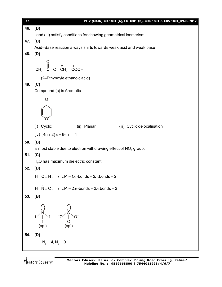| $[ 12 ]$ | PT-V (MAIN) CD-1801 (A), CD-1801 (B), CDK-1801 & CDS-1801_09.09.2017                                                                     |  |  |  |  |
|----------|------------------------------------------------------------------------------------------------------------------------------------------|--|--|--|--|
| 46.      | (D)                                                                                                                                      |  |  |  |  |
|          | I and (III) satisfy conditions for showing geometrical isomerism.                                                                        |  |  |  |  |
| 47.      | (D)                                                                                                                                      |  |  |  |  |
|          | Acid-Base reaction always shifts towards weak acid and weak base                                                                         |  |  |  |  |
| 48.      | (D)                                                                                                                                      |  |  |  |  |
|          | CH <sub>3</sub> – C – O – $\overrightarrow{C}$ H <sub>2</sub> – COOH                                                                     |  |  |  |  |
|          | (2-Ethynoyle ethanoic acid)                                                                                                              |  |  |  |  |
| 49.      | (C)                                                                                                                                      |  |  |  |  |
|          | Compound (c) is Aromatic                                                                                                                 |  |  |  |  |
|          |                                                                                                                                          |  |  |  |  |
|          |                                                                                                                                          |  |  |  |  |
|          | (i) Cyclic<br>(ii) Planar<br>(iii) Cyclic delocalisation                                                                                 |  |  |  |  |
|          | (iv) $(4n+2)\pi = 6\pi$ n = 1                                                                                                            |  |  |  |  |
| 50.      | (B)                                                                                                                                      |  |  |  |  |
|          | is most stable due to electron withdrawing effect of $NO2$ group.                                                                        |  |  |  |  |
| 51.      | (C)                                                                                                                                      |  |  |  |  |
|          | $H2O$ has maximum dielectric constant.                                                                                                   |  |  |  |  |
| 52.      | (D)                                                                                                                                      |  |  |  |  |
|          | $H - C \equiv N: \rightarrow L.P. = 1, \sigma-bonds = 2, \pi bonds = 2$                                                                  |  |  |  |  |
|          | $H - N = C$ : $\rightarrow$ L.P. = 2, $\sigma$ -bonds = 2, $\pi$ bonds = 2                                                               |  |  |  |  |
| 53.      | (B)                                                                                                                                      |  |  |  |  |
|          |                                                                                                                                          |  |  |  |  |
|          |                                                                                                                                          |  |  |  |  |
|          |                                                                                                                                          |  |  |  |  |
|          | (.)<br>$\begin{matrix} 1/ \begin{matrix} N \\ 1 \end{matrix} & 1 & 0 \\ 0 & 0 \\ 0 & 0 \\ (sp^3) & (sp^3) \end{matrix} & 0 \end{matrix}$ |  |  |  |  |
|          |                                                                                                                                          |  |  |  |  |
| 54.      | (D)                                                                                                                                      |  |  |  |  |
|          | $N_b = 4, N_a = 0$                                                                                                                       |  |  |  |  |
|          |                                                                                                                                          |  |  |  |  |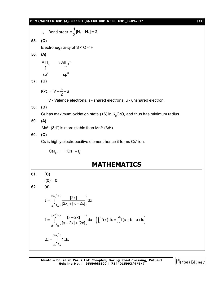#### **PT-V (MAIN) CD-1801 (A), CD-1801 (B), CDK-1801 & CDS-1801\_09.09.2017** [ **13** ]

Find the sum of the following matrices:

\nSo, C(1)

\nElectromegativity of S < O < F.

\nSo, C(2)

\nAllH<sub>3</sub> → AllH<sub>4</sub><sup>-</sup> 
$$
\uparrow \uparrow \uparrow
$$

\nso<sup>2</sup> = sp<sup>3</sup>

\nSo, C(3)

\nF.C. = V -  $\frac{5}{2}$  - U

\nV - Value vectors, S - shared electrons, u - unshared electron.

\nSo, C(1)

\nCr has maximum oxidation state (+6) in K<sub>2</sub>CrO<sub>4</sub> and thus has minimum radius.

\nSo, C(2)

\nCs is highly electropositive element hence it forms Cs<sup>+</sup> ion.

\nCsI<sub>3</sub> → Cs<sup>+</sup> + I<sub>3</sub>

\nMATHEMATICS

\n61. (C)

\nf(0) = 0

\n62. (A)

\n
$$
I = \int_{\sin^{-1} a}^{1} \left( \frac{|2x|}{|2x| + [\pi - 2x]} \right) dx
$$

\n
$$
I = \int_{\sin^{-1} a}^{1} \left( \frac{|2x|}{|2x| + [2x^2]} \right) dx \quad \left( \int_{a}^{b} f(x) dx = \int_{a}^{b} f(a + b - x) dx \right)
$$

\nSo,  $\frac{1}{2} \left( \frac{1}{2} \right) dx = \int_{\sin^{-1} a}^{1} f(a + b - x) dx$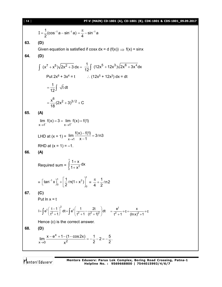| [14] | PT-V (MAIN) CD-1801 (A), CD-1801 (B), CDK-1801 & CDS-1801_09.09.2017                                                                                                               |  |  |  |  |
|------|------------------------------------------------------------------------------------------------------------------------------------------------------------------------------------|--|--|--|--|
|      | $I = \frac{1}{2}(\cos^{-1} a - \sin^{-1} a) = \frac{\pi}{4} - \sin^{-1} a$                                                                                                         |  |  |  |  |
| 63.  | (D)                                                                                                                                                                                |  |  |  |  |
|      | Given equation is satisfied if cosx dx = d (f(x)) $\Rightarrow$ f(x) = sinx                                                                                                        |  |  |  |  |
| 64.  | (D)                                                                                                                                                                                |  |  |  |  |
|      | $\int (x^7 + x^5)\sqrt{2x^2 + 3} dx = \frac{1}{12}\int (12x^5 + 12x^3)\sqrt{2x^6 + 3x^4} dx$                                                                                       |  |  |  |  |
|      | Put $2x^6 + 3x^4 = t$ : $(12x^5 + 12x^3) dx = dt$                                                                                                                                  |  |  |  |  |
|      | $=\frac{1}{12}\int \sqrt{t} dt$                                                                                                                                                    |  |  |  |  |
|      | $=\frac{x^{6}}{18}(2x^{2}+3)^{3/2}+C$                                                                                                                                              |  |  |  |  |
| 65.  | (A)                                                                                                                                                                                |  |  |  |  |
|      | $\lim_{x \to 1^{-}} f(x) = 3 = \lim_{x \to 1^{+}} f(x) = f(1)$                                                                                                                     |  |  |  |  |
|      | LHD at $(x = 1) = \lim_{x \to 1} \frac{f(x) - f(1)}{x - 1} = 3ln 3$                                                                                                                |  |  |  |  |
|      | RHD at $(x = 1) = -1$ .                                                                                                                                                            |  |  |  |  |
| 66.  | (A)                                                                                                                                                                                |  |  |  |  |
|      | Required sum = $\int_{0}^{1} \frac{1+x}{1+x^2} dx$                                                                                                                                 |  |  |  |  |
|      | = $\left[\tan^{-1} x\right]_0^1 + \left[\frac{1}{2}ln(1+x^2)\right]_0^1 = \frac{\pi}{4} + \frac{1}{2}ln2$                                                                          |  |  |  |  |
| 67.  | (C)                                                                                                                                                                                |  |  |  |  |
|      | Put $ln x = t$                                                                                                                                                                     |  |  |  |  |
|      | $I = \int e^{t} \left( \frac{t-1}{t^2+1} \right)^2 dt = \int e^{t} \left( \frac{1}{t^2+1} - \frac{2t}{(t^2+1)^2} \right) dt = \frac{e^{t}}{t^2+1} + c = \frac{x}{(\ln x)^2+1} + c$ |  |  |  |  |
|      | Hence (c) is the correct answer.                                                                                                                                                   |  |  |  |  |
| 68.  | (D)                                                                                                                                                                                |  |  |  |  |
|      | $\lim_{x\to 0} \frac{x-e^x+1-(1-\cos 2x)}{x^2} = -\frac{1}{2}-2 = -\frac{5}{2}.$                                                                                                   |  |  |  |  |
|      |                                                                                                                                                                                    |  |  |  |  |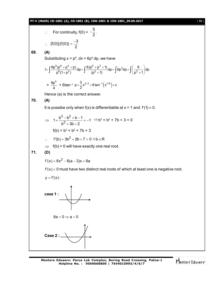#### **PT-V (MAIN) CD-1801 (A), CD-1801 (B), CDK-1801 & CDS-1801\_09.09.2017** [ **15** ]

$$
\therefore \quad \text{For continuity, } f(0) = -\frac{5}{2}.
$$

$$
\therefore [f(0)]\{f(0)\} = \frac{-3}{2}
$$

**69. (A)**

Substituting  $x = p^6$ , dx = 6p<sup>5</sup> dp, we have

$$
I = \int \frac{6p^5(p^6 + p^4 + p)}{p^6(1 + p^2)} dp = \int \frac{6(p^5 + p^3 + 1)}{(p^2 + 1)} dp = \int 6p^3 dp + \int \left(\frac{6}{p^2 + 1}\right) dp
$$

$$
= \frac{6p^{4}}{4} + 6\tan^{-1} p = \frac{3}{2}x^{2/3} + 6\tan^{-1}(x^{1/6}) + c
$$

Hence (a) is the correct answer.

# **70. (A)**

It is possibe only when  $f(x)$  is differentiable at  $x = 1$  and  $f'(1) \neq 0$ .

$$
\Rightarrow 1 + \frac{b^3 - b^2 + b - 1}{b^2 + 3b + 2} = -1 \Rightarrow b^3 + b^2 + 7b + 3 = 0
$$
  
f(b) = b<sup>3</sup> + b<sup>2</sup> + 7b + 3

$$
\therefore f'(b) = 3b^2 + 2b + 7 > 0 \ \forall b \in \mathsf{R}
$$

 $\Rightarrow$  f(b) = 0 will have exactly one real root.

$$
71. (D)
$$

$$
f'(x) = 6x^2 - 6(a-3)x + 6a
$$

 $f'(x) = 0$  must have two distinct real roots of which at least one is negative root.

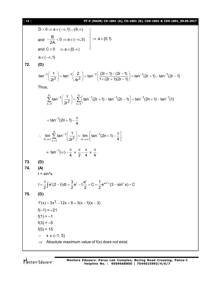#### [ **16** ] **PT-V (MAIN) CD-1801 (A), CD-1801 (B), CDK-1801 & CDS-1801\_09.09.2017**

$$
D > 0 \Rightarrow a \in (-\infty, 1) \cup (9, \infty)
$$
  
and 
$$
-\frac{B}{2A} < 0 \Rightarrow a \in (-\infty, 3)
$$
  
and 
$$
C \ge 0 \Rightarrow a \in [0, \infty)
$$
  

$$
a \in (-\infty, 1)
$$
  
**72.** (D)

$$
\tan^{-1}\left(\frac{1}{2r^2}\right) = \tan^{-1}\left(\frac{2}{4r^2}\right) = \tan^{-1}\left(\frac{(2r+1) - (2r-1)}{1 + (2r+1)(2r-1)}\right) = \tan^{-1}(2r+1) - \tan^{-1}(2r-1)
$$

Thus,

Thus,  
\n
$$
\sum_{r=1}^{n} \tan^{-1} \left( \frac{1}{2r^2} \right) = \sum_{r=1}^{n} \left[ \tan^{-1}(2r+1) - \tan^{-1}(2r-1) \right] = \tan^{-1}(2n+1) - \tan^{-1}(1)
$$
\n
$$
= \tan^{-1}(2n+1) - \frac{\pi}{4}
$$
\n∴ 
$$
\lim_{n \to \infty} \sum_{r=1}^{n} \tan^{-1} \left( \frac{1}{2r^2} \right) = \lim_{n \to \infty} \left[ \tan^{-1}(2n+1) - \frac{\pi}{4} \right]
$$
\n
$$
= \tan^{-1}(\infty) - \frac{\pi}{4} = \frac{\pi}{2} - \frac{\pi}{4} = \frac{\pi}{4}.
$$
\n(D)  
\n(A)  
\n $t = \sin^2 x$ .  
\n
$$
I = \frac{1}{2} \int e^{t}(2-t) dt = \frac{3}{2} e^{t} - t \frac{e^{t}}{2} + C = \frac{1}{2} e^{\sin^2 x} (3 - \sin^2 x) + C
$$
\n(D)  
\n $f'(x) = 3x^2 - 12x + 9 = 3(x - 1)(x - 3)$   
\n $f(-1) = -21$   
\n $f(3) = -5$   
\n $f(5) = 15$   
\n∴  $x \in (-1, 5)$   
\n⇒ Absolute maximum value of  $f(x)$  does not exist.

Mentors<sup>e</sup> Eduserv<sup>-</sup>

**73. (D) 74. (A)**

**75. (D)**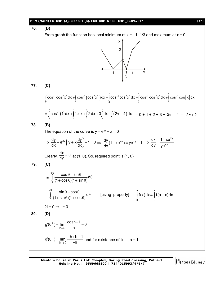

**Mentors Eduserv: Parus Lok Complex, Boring Road Crossing, Patna-1 Helpline No. : 9569668800 | 7544015993/4/6/7**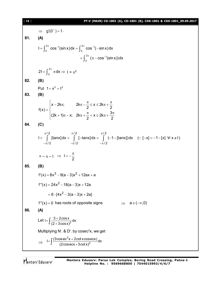#### [ **18** ] **PT-V (MAIN) CD-1801 (A), CD-1801 (B), CDK-1801 & CDS-1801\_09.09.2017**

 $\Rightarrow$  g'(0<sup>-</sup>) = 1. **81. (A)**  $^{2\pi}$  cos<sup>-1</sup>(sin x)dy -  $\int^{2\pi}$  cos<sup>-1</sup>  $I = \int_0^{2\pi} \cos^{-1}(\sin x) dx = \int_0^{2\pi} \cos^{-1}(-\sin x) dx$  $^{2\pi}$  ( $\pi$  cos<sup>-1</sup>  $=\int_0^{2\pi} (\pi - \cos^{-1}(\sin x))dx$ 2  $2I = \int_0^{2\pi} \pi dx \Rightarrow I = \pi^2$ **82. (B)** Put  $1 + x^2 = t^2$ **83. (B)**  $x - 2k\pi$ ;  $2k\pi - \frac{\pi}{2} \le x \le 2k$  $f(x) = \begin{cases} 2 & 2 \end{cases}$  $(2k + 1)\pi - x$ ;  $2k\pi + \frac{\pi}{6} < x \leq 2k\pi + \frac{3}{6}$ 2  $2$  $\begin{cases} x - 2k\pi; \hspace{1cm} 2k\pi - \frac{\pi}{2} \leq x \leq 2k\pi + \frac{\pi}{2} \end{cases}$  $=\{$  $\left( (2k+1)\pi - x; 2k\pi + \frac{\pi}{2} < x \le 2k\pi + \frac{3\pi}{2} \right)$ **84. (C)**  $\pi/2$   $\pi/2$   $\pi/2$  $/2$   $-\pi/2$   $-\pi/2$ I = | [tanx]dx = | [-tanx]dx = | (−1− [tanx])dx (∵ [−x] = −1− [x]  $\pm$  x ∉ I)  $\pi/2$   $\pi/2$   $\pi/$  $-\pi/2$   $-\pi/2$   $-\pi$  $=$   $\int$  [tanx]dx =  $\int$  [-tanx]dx =  $\int$  (-1-[tanx])dx (: [-x] = -1-[x]  $\forall$  x  $\notin$  I  $=-\pi-1 \Rightarrow l=-\frac{\pi}{2}$  $\Rightarrow$   $I=-\frac{\pi}{2}$ **85. (B)**  $f'(x) = 8x^3 - 9(a-3)x^2 + 12ax + a$ f"(x) = 24x<sup>2</sup> – 18(a – 3)x + 12a  $= 6 \cdot {4x^2 - 3(a-3)x + 2a}$  $f''(x) = 0$  has roots of opposite signs  $\implies a \in (-\infty, 0)$ **86. (A)** Let  $I = \int \frac{3 + 2\cos x}{(2 + 3\cos x)^2} dx$  $(2+3\cos x)$  $=\int \frac{3+}{1}$  $\int \frac{6}{(2+i)}$ Multiplying N<sup>r</sup>. & D<sup>r</sup>. by cosec<sup>2</sup>x, we get  $\Rightarrow$ 2  $I = \int \frac{(3\cos \sec^2 x + 2\cot x \csc x)}{(2\cos \sec x + 3\cot x)^2} dx$  $(2cosecx + 3cotx)$  $=\int \frac{(3\cos ec^2x +$  $\int \frac{3 \csc 1 + 2C}{2 \csc 1}$ 

Mentors<sup>®</sup> Eduserv<sup>®</sup>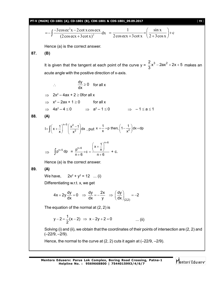**PT-V (MAIN) CD-1801 (A), CD-1801 (B), CDK-1801 & CDS-1801\_09.09.2017** [ **19** ] 2 2 3cosec x 2cot x cos ecx dx (2cos ecx 3cot x) 1 sin x c 2cos ecx 3cot x 2 3cos x Hence (a) is the correct answer. **87. (B)** It is given that the tangent at each point of the curve y = <sup>2</sup> 3 2 x 2ax 2x 5 3 makes an acute angle with the positive direction of x-axis. dy <sup>0</sup> dx for all x 2x<sup>2</sup> – 4ax + 2 0for all x x 2 – 2ax + 1 0 for all x 4a<sup>2</sup> – 4 0 a 2 – 1 0 – 1 a 1 **88. (A)** n 5 2 2 1 x 1 I x dx x x , put <sup>2</sup> 1 1 x p then, 1 dx dp x x n 5 p dp = n 6 n 6 1 x p x c n 6 n 6 + c. Hence (a) is the correct answer. **89. (A)** We have, 2x<sup>2</sup> + y<sup>2</sup> = 12 ... (i) Differentiating w.r.t. x, we get (2,2) dy dy 2x dy 4x 2y 0 2 dx dx y dx The equation of the normal at (2, 2) is 1 y 2 (x 2) x 2y 2 0 2 ... (ii) Solving (i) and (ii), we obtain that the coordinates of their points of intersection are (2, 2) and (–22/9, –2/9). Hence, the normal to the curve at (2, 2) cuts it again at (–22/9, –2/9).

Mentors<sup>\*</sup> Eduserv<sup>-</sup>